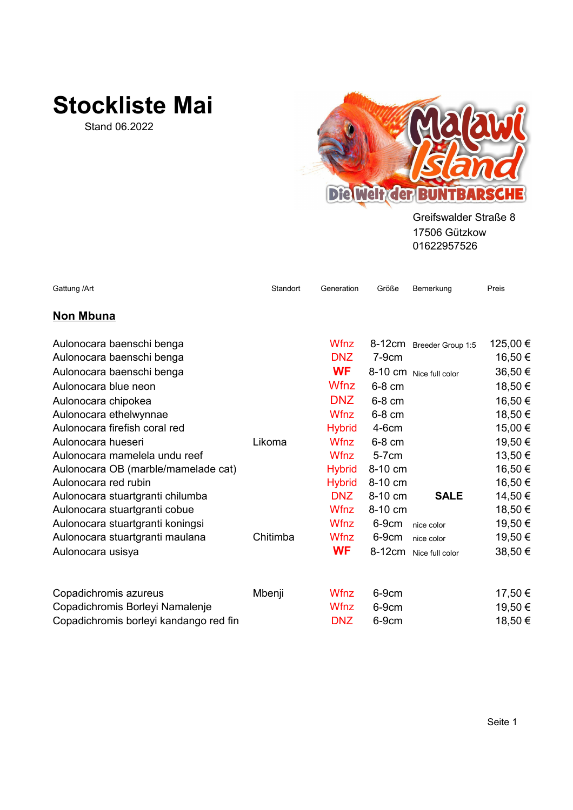## **Stockliste Mai**

Stand 06.2022



Greifswalder Straße 8 01622957526 17506 Gützkow

| Gattung / Art                          | Standort | Generation    | Größe     | Bemerkung                | Preis    |
|----------------------------------------|----------|---------------|-----------|--------------------------|----------|
| <b>Non Mbuna</b>                       |          |               |           |                          |          |
| Aulonocara baenschi benga              |          | <b>Wfnz</b>   |           | 8-12cm Breeder Group 1:5 | 125,00 € |
| Aulonocara baenschi benga              |          | DNZ           | $7-9cm$   |                          | 16,50 €  |
| Aulonocara baenschi benga              |          | <b>WF</b>     |           | 8-10 cm Nice full color  | 36,50€   |
| Aulonocara blue neon                   |          | <b>Wfnz</b>   | 6-8 cm    |                          | 18,50 €  |
| Aulonocara chipokea                    |          | <b>DNZ</b>    | 6-8 cm    |                          | 16,50€   |
| Aulonocara ethelwynnae                 |          | <b>Wfnz</b>   | 6-8 cm    |                          | 18,50 €  |
| Aulonocara firefish coral red          |          | <b>Hybrid</b> | $4-6cm$   |                          | 15,00 €  |
| Aulonocara hueseri                     | Likoma   | <b>Wfnz</b>   | 6-8 cm    |                          | 19,50 €  |
| Aulonocara mamelela undu reef          |          | <b>Wfnz</b>   | $5-7$ cm  |                          | 13,50 €  |
| Aulonocara OB (marble/mamelade cat)    |          | <b>Hybrid</b> | 8-10 cm   |                          | 16,50 €  |
| Aulonocara red rubin                   |          | <b>Hybrid</b> | 8-10 cm   |                          | 16,50 €  |
| Aulonocara stuartgranti chilumba       |          | <b>DNZ</b>    | $8-10$ cm | <b>SALE</b>              | 14,50 €  |
| Aulonocara stuartgranti cobue          |          | <b>Wfnz</b>   | 8-10 cm   |                          | 18,50 €  |
| Aulonocara stuartgranti koningsi       |          | <b>Wfnz</b>   | 6-9cm     | nice color               | 19,50 €  |
| Aulonocara stuartgranti maulana        | Chitimba | <b>Wfnz</b>   | 6-9cm     | nice color               | 19,50 €  |
| Aulonocara usisya                      |          | <b>WF</b>     | 8-12cm    | Nice full color          | 38,50€   |
| Copadichromis azureus                  | Mbenji   | Wfnz          | 6-9cm     |                          | 17,50 €  |
| Copadichromis Borleyi Namalenje        |          | Wfnz          | 6-9cm     |                          | 19,50 €  |
| Copadichromis borleyi kandango red fin |          | <b>DNZ</b>    | 6-9cm     |                          | 18,50 €  |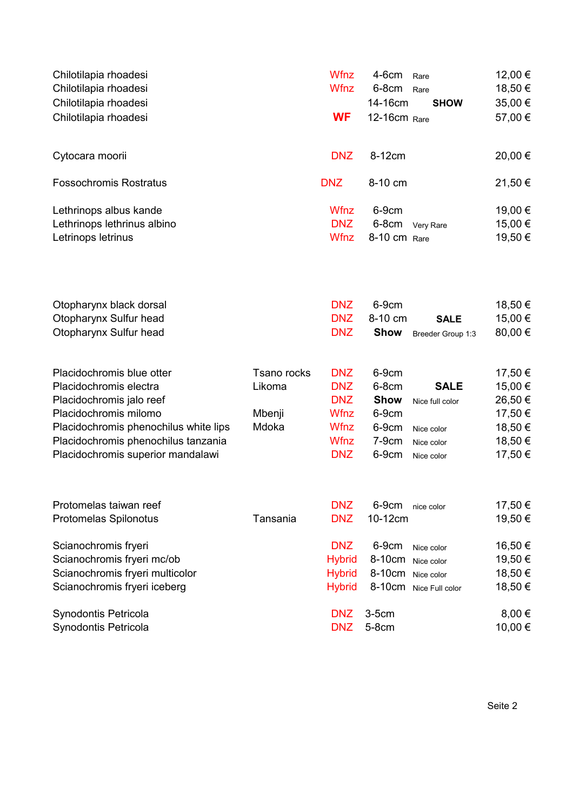| Chilotilapia rhoadesi<br>Chilotilapia rhoadesi |             | <b>Wfnz</b><br><b>Wfnz</b> | 4-6cm<br>6-8cm     | Rare<br>Rare           | 12,00 €<br>18,50 € |
|------------------------------------------------|-------------|----------------------------|--------------------|------------------------|--------------------|
| Chilotilapia rhoadesi                          |             |                            | 14-16cm            | <b>SHOW</b>            | 35,00 €            |
| Chilotilapia rhoadesi                          |             | <b>WF</b>                  | 12-16cm Rare       |                        | 57,00 €            |
| Cytocara moorii                                |             | <b>DNZ</b>                 | 8-12cm             |                        | 20,00 €            |
| <b>Fossochromis Rostratus</b>                  |             | <b>DNZ</b>                 | 8-10 cm            |                        | 21,50€             |
| Lethrinops albus kande                         |             | Wfnz                       | 6-9cm              |                        | 19,00 €            |
| Lethrinops lethrinus albino                    |             | <b>DNZ</b>                 | 6-8cm              | Very Rare              | 15,00 €            |
| Letrinops letrinus                             |             | <b>Wfnz</b>                | 8-10 cm Rare       |                        | 19,50 €            |
|                                                |             |                            |                    |                        |                    |
| Otopharynx black dorsal                        |             | <b>DNZ</b>                 | 6-9cm              |                        | 18,50 €            |
| Otopharynx Sulfur head                         |             | <b>DNZ</b>                 | 8-10 cm            | <b>SALE</b>            | 15,00 €            |
| Otopharynx Sulfur head                         |             | <b>DNZ</b>                 | <b>Show</b>        | Breeder Group 1:3      | 80,00 €            |
| Placidochromis blue otter                      | Tsano rocks | <b>DNZ</b>                 | 6-9cm              |                        | 17,50 €            |
| Placidochromis electra                         | Likoma      | <b>DNZ</b>                 | 6-8cm              | <b>SALE</b>            | 15,00 €            |
| Placidochromis jalo reef                       |             | <b>DNZ</b>                 | <b>Show</b>        | Nice full color        | 26,50€             |
| Placidochromis milomo                          | Mbenji      | Wfnz                       | 6-9cm              |                        | 17,50 €            |
| Placidochromis phenochilus white lips          | Mdoka       | Wfnz                       | 6-9cm              | Nice color             | 18,50 €            |
| Placidochromis phenochilus tanzania            |             | <b>Wfnz</b>                | $7-9cm$            | Nice color             | 18,50 €            |
| Placidochromis superior mandalawi              |             | <b>DNZ</b>                 | 6-9cm              | Nice color             | 17,50 €            |
| Protomelas taiwan reef                         |             | <b>DNZ</b>                 |                    |                        |                    |
| Protomelas Spilonotus                          | Tansania    | <b>DNZ</b>                 | $6-9cm$<br>10-12cm | nice color             | 17,50 €<br>19,50 € |
| Scianochromis fryeri                           |             | <b>DNZ</b>                 | 6-9cm              | Nice color             | 16,50€             |
| Scianochromis fryeri mc/ob                     |             | <b>Hybrid</b>              | 8-10cm Nice color  |                        | 19,50 €            |
| Scianochromis fryeri multicolor                |             | <b>Hybrid</b>              | 8-10cm Nice color  |                        | 18,50 €            |
| Scianochromis fryeri iceberg                   |             | <b>Hybrid</b>              |                    | 8-10cm Nice Full color | 18,50 €            |
| Synodontis Petricola                           |             | <b>DNZ</b>                 | $3-5cm$            |                        | 8,00€              |
| Synodontis Petricola                           |             | <b>DNZ</b>                 | 5-8cm              |                        | 10,00 €            |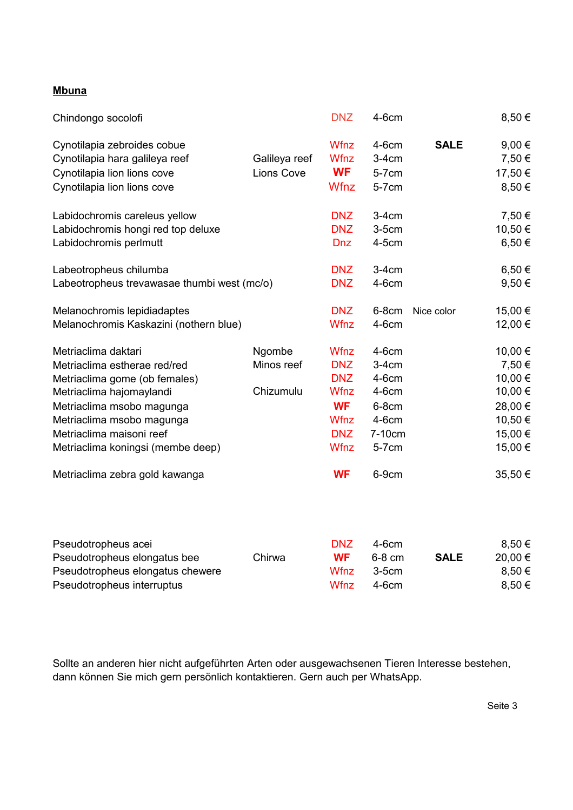## **Mbuna**

| Chindongo socolofi                          |                   | <b>DNZ</b>  | $4-6cm$ |             | 8,50 €     |
|---------------------------------------------|-------------------|-------------|---------|-------------|------------|
| Cynotilapia zebroides cobue                 |                   | Wfnz        | $4-6cm$ | <b>SALE</b> | 9,00 $\in$ |
| Cynotilapia hara galileya reef              | Galileya reef     | <b>Wfnz</b> | $3-4cm$ |             | 7,50 €     |
| Cynotilapia lion lions cove                 | <b>Lions Cove</b> | <b>WF</b>   | 5-7cm   |             | 17,50 €    |
| Cynotilapia lion lions cove                 |                   | Wfnz        | 5-7cm   |             | 8,50€      |
| Labidochromis careleus yellow               |                   | <b>DNZ</b>  | $3-4cm$ |             | 7,50 €     |
| Labidochromis hongi red top deluxe          |                   | <b>DNZ</b>  | $3-5cm$ |             | 10,50 €    |
| Labidochromis perlmutt                      |                   | <b>Dnz</b>  | $4-5cm$ |             | 6,50€      |
| Labeotropheus chilumba                      |                   | <b>DNZ</b>  | $3-4cm$ |             | $6,50 \in$ |
| Labeotropheus trevawasae thumbi west (mc/o) |                   | <b>DNZ</b>  | $4-6cm$ |             | 9,50€      |
| Melanochromis lepidiadaptes                 |                   | <b>DNZ</b>  | $6-8cm$ | Nice color  | 15,00 €    |
| Melanochromis Kaskazini (nothern blue)      |                   | <b>Wfnz</b> | $4-6cm$ |             | 12,00 €    |
| Metriaclima daktari                         | Ngombe            | <b>Wfnz</b> | $4-6cm$ |             | 10,00 €    |
| Metriaclima estherae red/red                | Minos reef        | <b>DNZ</b>  | $3-4cm$ |             | 7,50€      |
| Metriaclima gome (ob females)               |                   | <b>DNZ</b>  | $4-6cm$ |             | 10,00 €    |
| Metriaclima hajomaylandi                    | Chizumulu         | <b>Wfnz</b> | $4-6cm$ |             | 10,00 €    |
| Metriaclima msobo magunga                   |                   | <b>WF</b>   | $6-8cm$ |             | 28,00 €    |
| Metriaclima msobo magunga                   |                   | <b>Wfnz</b> | $4-6cm$ |             | 10,50 €    |
| Metriaclima maisoni reef                    |                   | <b>DNZ</b>  | 7-10cm  |             | 15,00 €    |
| Metriaclima koningsi (membe deep)           |                   | <b>Wfnz</b> | 5-7cm   |             | 15,00 €    |
| Metriaclima zebra gold kawanga              |                   | <b>WF</b>   | 6-9cm   |             | 35,50 €    |

| Pseudotropheus acei              |        | <b>DNZ</b> | 4-6cm    |             | $8.50 \in$ |
|----------------------------------|--------|------------|----------|-------------|------------|
| Pseudotropheus elongatus bee     | Chirwa | <b>WF</b>  | $6-8$ cm | <b>SALE</b> | 20,00 €    |
| Pseudotropheus elongatus chewere |        | Wfnz       | $3-5cm$  |             | 8,50€      |
| Pseudotropheus interruptus       |        | Wfnz       | $4-6cm$  |             | 8,50€      |

Sollte an anderen hier nicht aufgeführten Arten oder ausgewachsenen Tieren Interesse bestehen, dann können Sie mich gern persönlich kontaktieren. Gern auch per WhatsApp.